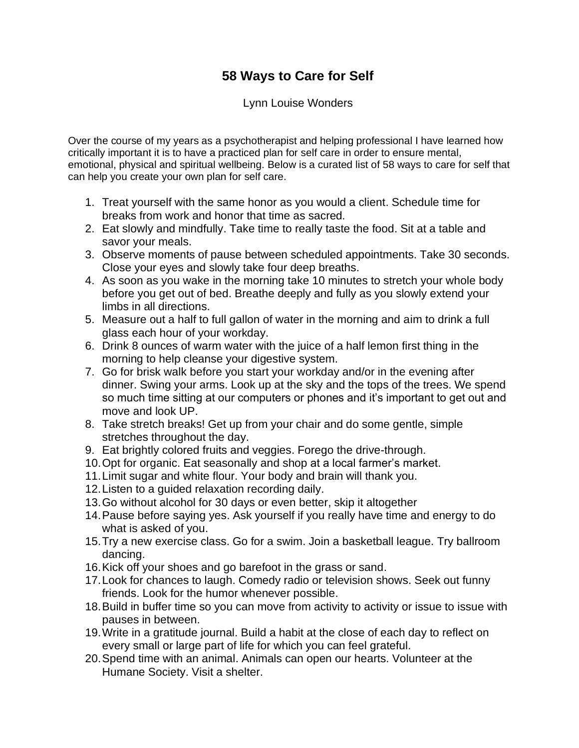## **58 Ways to Care for Self**

Lynn Louise Wonders

Over the course of my years as a psychotherapist and helping professional I have learned how critically important it is to have a practiced plan for self care in order to ensure mental, emotional, physical and spiritual wellbeing. Below is a curated list of 58 ways to care for self that can help you create your own plan for self care.

- 1. Treat yourself with the same honor as you would a client. Schedule time for breaks from work and honor that time as sacred.
- 2. Eat slowly and mindfully. Take time to really taste the food. Sit at a table and savor your meals.
- 3. Observe moments of pause between scheduled appointments. Take 30 seconds. Close your eyes and slowly take four deep breaths.
- 4. As soon as you wake in the morning take 10 minutes to stretch your whole body before you get out of bed. Breathe deeply and fully as you slowly extend your limbs in all directions.
- 5. Measure out a half to full gallon of water in the morning and aim to drink a full glass each hour of your workday.
- 6. Drink 8 ounces of warm water with the juice of a half lemon first thing in the morning to help cleanse your digestive system.
- 7. Go for brisk walk before you start your workday and/or in the evening after dinner. Swing your arms. Look up at the sky and the tops of the trees. We spend so much time sitting at our computers or phones and it's important to get out and move and look UP.
- 8. Take stretch breaks! Get up from your chair and do some gentle, simple stretches throughout the day.
- 9. Eat brightly colored fruits and veggies. Forego the drive-through.
- 10.Opt for organic. Eat seasonally and shop at a local farmer's market.
- 11.Limit sugar and white flour. Your body and brain will thank you.
- 12.Listen to a guided relaxation recording daily.
- 13.Go without alcohol for 30 days or even better, skip it altogether
- 14.Pause before saying yes. Ask yourself if you really have time and energy to do what is asked of you.
- 15.Try a new exercise class. Go for a swim. Join a basketball league. Try ballroom dancing.
- 16.Kick off your shoes and go barefoot in the grass or sand.
- 17.Look for chances to laugh. Comedy radio or television shows. Seek out funny friends. Look for the humor whenever possible.
- 18.Build in buffer time so you can move from activity to activity or issue to issue with pauses in between.
- 19.Write in a gratitude journal. Build a habit at the close of each day to reflect on every small or large part of life for which you can feel grateful.
- 20.Spend time with an animal. Animals can open our hearts. Volunteer at the Humane Society. Visit a shelter.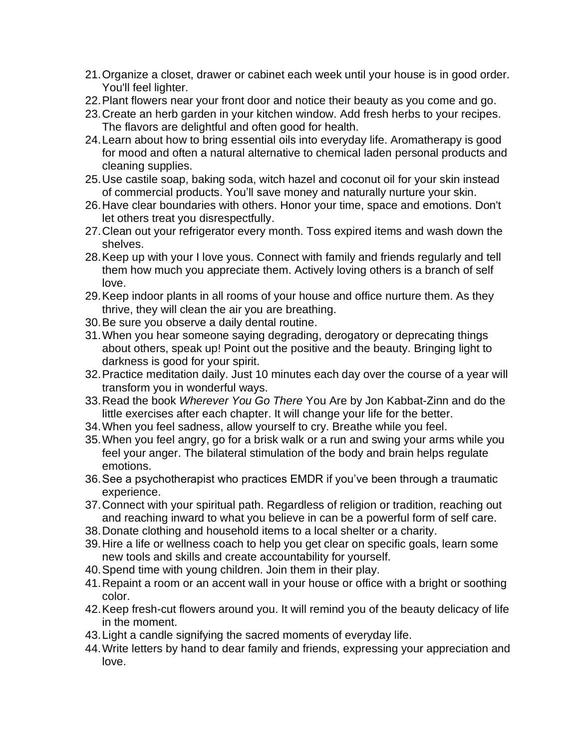- 21.Organize a closet, drawer or cabinet each week until your house is in good order. You'll feel lighter.
- 22.Plant flowers near your front door and notice their beauty as you come and go.
- 23.Create an herb garden in your kitchen window. Add fresh herbs to your recipes. The flavors are delightful and often good for health.
- 24.Learn about how to bring essential oils into everyday life. Aromatherapy is good for mood and often a natural alternative to chemical laden personal products and cleaning supplies.
- 25.Use castile soap, baking soda, witch hazel and coconut oil for your skin instead of commercial products. You'll save money and naturally nurture your skin.
- 26.Have clear boundaries with others. Honor your time, space and emotions. Don't let others treat you disrespectfully.
- 27.Clean out your refrigerator every month. Toss expired items and wash down the shelves.
- 28.Keep up with your I love yous. Connect with family and friends regularly and tell them how much you appreciate them. Actively loving others is a branch of self love.
- 29.Keep indoor plants in all rooms of your house and office nurture them. As they thrive, they will clean the air you are breathing.
- 30.Be sure you observe a daily dental routine.
- 31.When you hear someone saying degrading, derogatory or deprecating things about others, speak up! Point out the positive and the beauty. Bringing light to darkness is good for your spirit.
- 32.Practice meditation daily. Just 10 minutes each day over the course of a year will transform you in wonderful ways.
- 33.Read the book *Wherever You Go There* You Are by Jon Kabbat-Zinn and do the little exercises after each chapter. It will change your life for the better.
- 34.When you feel sadness, allow yourself to cry. Breathe while you feel.
- 35.When you feel angry, go for a brisk walk or a run and swing your arms while you feel your anger. The bilateral stimulation of the body and brain helps regulate emotions.
- 36.See a psychotherapist who practices EMDR if you've been through a traumatic experience.
- 37.Connect with your spiritual path. Regardless of religion or tradition, reaching out and reaching inward to what you believe in can be a powerful form of self care.
- 38.Donate clothing and household items to a local shelter or a charity.
- 39.Hire a life or wellness coach to help you get clear on specific goals, learn some new tools and skills and create accountability for yourself.
- 40.Spend time with young children. Join them in their play.
- 41.Repaint a room or an accent wall in your house or office with a bright or soothing color.
- 42.Keep fresh-cut flowers around you. It will remind you of the beauty delicacy of life in the moment.
- 43.Light a candle signifying the sacred moments of everyday life.
- 44.Write letters by hand to dear family and friends, expressing your appreciation and love.